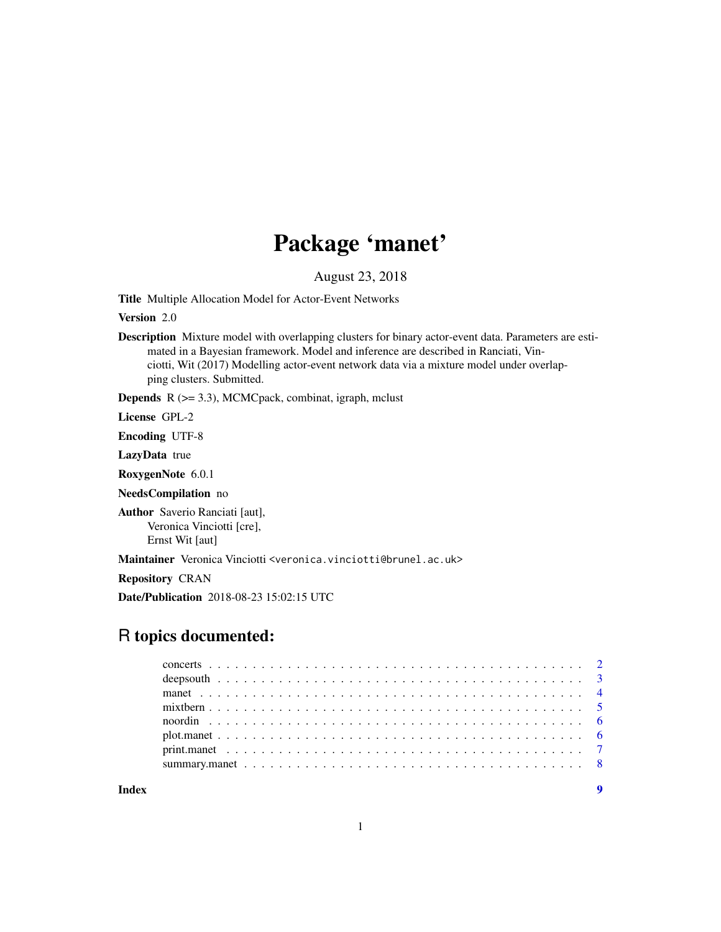# Package 'manet'

August 23, 2018

Title Multiple Allocation Model for Actor-Event Networks

Version 2.0

Description Mixture model with overlapping clusters for binary actor-event data. Parameters are estimated in a Bayesian framework. Model and inference are described in Ranciati, Vinciotti, Wit (2017) Modelling actor-event network data via a mixture model under overlapping clusters. Submitted.

**Depends**  $R$  ( $>= 3.3$ ), MCMCpack, combinat, igraph, mclust

License GPL-2

Encoding UTF-8

LazyData true

RoxygenNote 6.0.1

NeedsCompilation no

Author Saverio Ranciati [aut], Veronica Vinciotti [cre], Ernst Wit [aut]

Maintainer Veronica Vinciotti <veronica.vinciotti@brunel.ac.uk>

Repository CRAN

Date/Publication 2018-08-23 15:02:15 UTC

# R topics documented: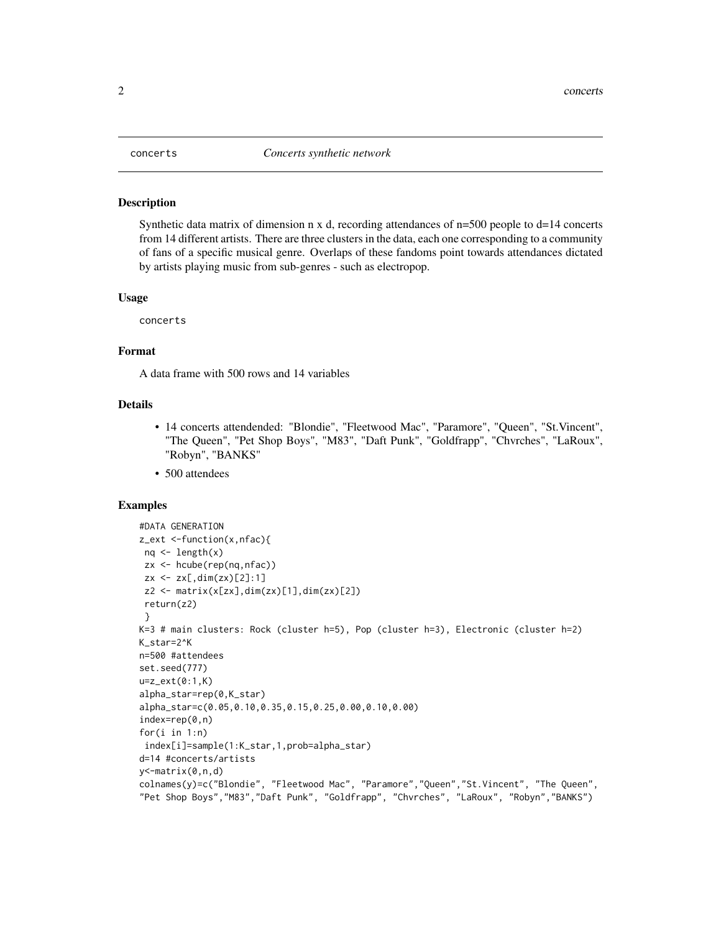<span id="page-1-0"></span>

Synthetic data matrix of dimension n x d, recording attendances of  $n=500$  people to d=14 concerts from 14 different artists. There are three clusters in the data, each one corresponding to a community of fans of a specific musical genre. Overlaps of these fandoms point towards attendances dictated by artists playing music from sub-genres - such as electropop.

#### Usage

concerts

## Format

A data frame with 500 rows and 14 variables

# Details

- 14 concerts attendended: "Blondie", "Fleetwood Mac", "Paramore", "Queen", "St.Vincent", "The Queen", "Pet Shop Boys", "M83", "Daft Punk", "Goldfrapp", "Chvrches", "LaRoux", "Robyn", "BANKS"
- 500 attendees

```
#DATA GENERATION
z_ext <-function(x,nfac){
 nq \leftarrow length(x)zx <- hcube(rep(nq,nfac))
 zx \le -zx[, \dim(zx)[2]:1z2 \le matrix(x[zx],dim(zx)[1],dim(zx)[2])
 return(z2)
 }
K=3 # main clusters: Rock (cluster h=5), Pop (cluster h=3), Electronic (cluster h=2)
K_star=2^K
n=500 #attendees
set.seed(777)
u=z_ext(0:1,K)
alpha_star=rep(0,K_star)
alpha_star=c(0.05,0.10,0.35,0.15,0.25,0.00,0.10,0.00)
index=rep(0,n)
for(i in 1:n)
 index[i]=sample(1:K_star,1,prob=alpha_star)
d=14 #concerts/artists
y<-matrix(0,n,d)
colnames(y)=c("Blondie", "Fleetwood Mac", "Paramore","Queen","St.Vincent", "The Queen",
"Pet Shop Boys","M83","Daft Punk", "Goldfrapp", "Chvrches", "LaRoux", "Robyn","BANKS")
```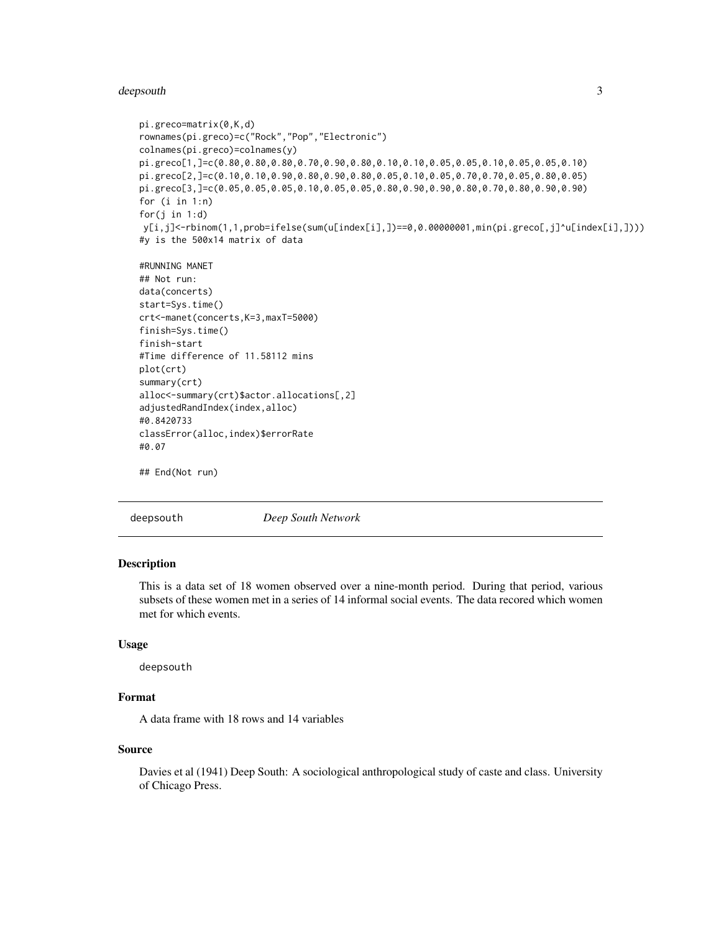#### <span id="page-2-0"></span>deepsouth 3

```
pi.greco=matrix(0,K,d)
rownames(pi.greco)=c("Rock","Pop","Electronic")
colnames(pi.greco)=colnames(y)
pi.greco[1,]=c(0.80,0.80,0.80,0.70,0.90,0.80,0.10,0.10,0.05,0.05,0.10,0.05,0.05,0.10)
pi.greco[2,]=c(0.10,0.10,0.90,0.80,0.90,0.80,0.05,0.10,0.05,0.70,0.70,0.05,0.80,0.05)
pi.greco[3,]=c(0.05,0.05,0.05,0.10,0.05,0.05,0.80,0.90,0.90,0.80,0.70,0.80,0.90,0.90)
for (i in 1:n)
for(j in 1:d)
y[i,j]<-rbinom(1,1,prob=ifelse(sum(u[index[i],])==0,0.00000001,min(pi.greco[,j]^u[index[i],])))
#y is the 500x14 matrix of data
#RUNNING MANET
## Not run:
data(concerts)
start=Sys.time()
crt<-manet(concerts,K=3,maxT=5000)
finish=Sys.time()
finish-start
#Time difference of 11.58112 mins
plot(crt)
summary(crt)
alloc<-summary(crt)$actor.allocations[,2]
adjustedRandIndex(index,alloc)
#0.8420733
classError(alloc,index)$errorRate
#0.07
## End(Not run)
```
deepsouth *Deep South Network*

#### Description

This is a data set of 18 women observed over a nine-month period. During that period, various subsets of these women met in a series of 14 informal social events. The data recored which women met for which events.

#### Usage

deepsouth

## Format

A data frame with 18 rows and 14 variables

# Source

Davies et al (1941) Deep South: A sociological anthropological study of caste and class. University of Chicago Press.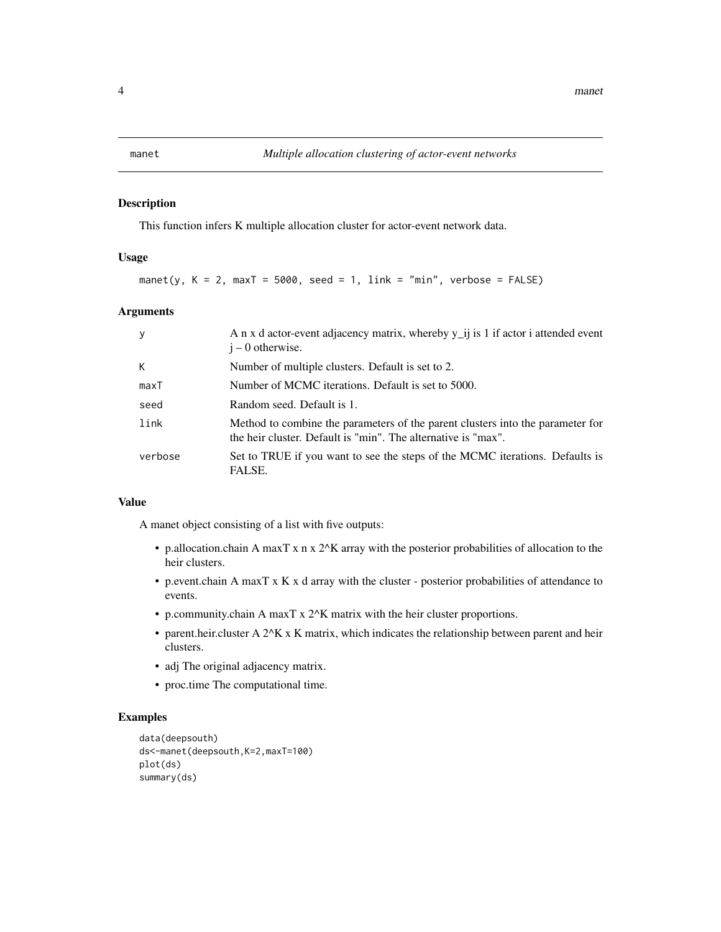<span id="page-3-0"></span>

This function infers K multiple allocation cluster for actor-event network data.

#### Usage

manet(y,  $K = 2$ , max $T = 5000$ , seed = 1, link = "min", verbose = FALSE)

# Arguments

| y       | A n x d actor-event adjacency matrix, whereby y_ij is 1 if actor i attended event<br>$i - 0$ otherwise.                                         |
|---------|-------------------------------------------------------------------------------------------------------------------------------------------------|
| K       | Number of multiple clusters. Default is set to 2.                                                                                               |
| maxT    | Number of MCMC iterations. Default is set to 5000.                                                                                              |
| seed    | Random seed. Default is 1.                                                                                                                      |
| link    | Method to combine the parameters of the parent clusters into the parameter for<br>the heir cluster. Default is "min". The alternative is "max". |
| verbose | Set to TRUE if you want to see the steps of the MCMC iterations. Defaults is<br>FALSE.                                                          |

#### Value

A manet object consisting of a list with five outputs:

- p.allocation.chain A maxT x n x 2^K array with the posterior probabilities of allocation to the heir clusters.
- p.event.chain A maxT x K x d array with the cluster posterior probabilities of attendance to events.
- p.community.chain A maxT x 2^K matrix with the heir cluster proportions.
- parent.heir.cluster A  $2^k$  X K matrix, which indicates the relationship between parent and heir clusters.
- adj The original adjacency matrix.
- proc.time The computational time.

```
data(deepsouth)
ds<-manet(deepsouth,K=2,maxT=100)
plot(ds)
summary(ds)
```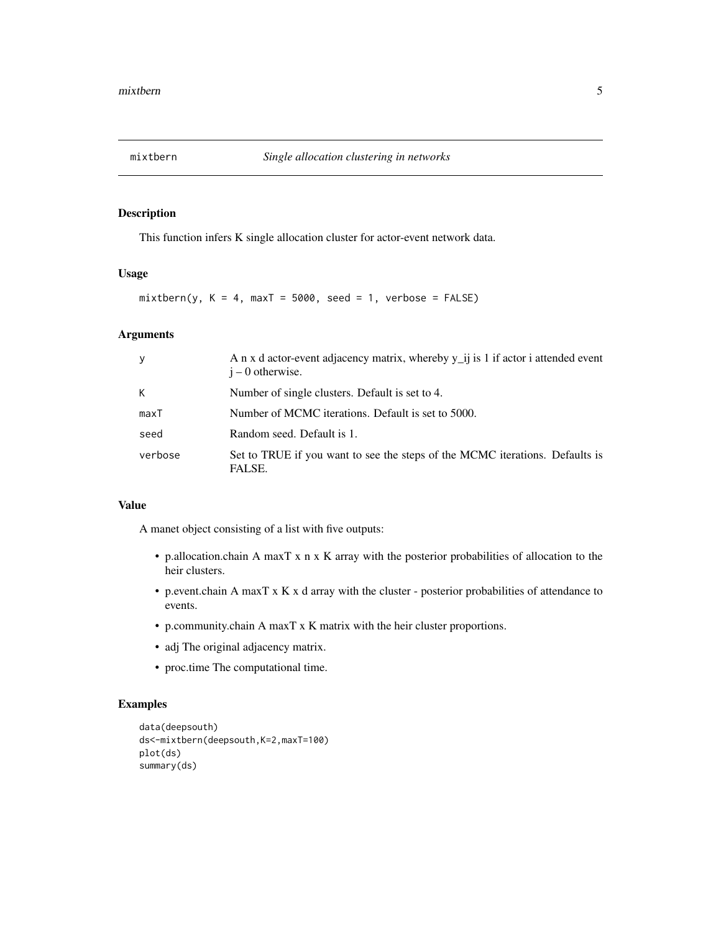<span id="page-4-0"></span>

This function infers K single allocation cluster for actor-event network data.

#### Usage

 $mixthern(y, K = 4, maxT = 5000, seed = 1, verbose = FALSE)$ 

# Arguments

| y       | A n x d actor-event adjacency matrix, whereby y_ij is 1 if actor i attended event<br>$i - 0$ otherwise. |
|---------|---------------------------------------------------------------------------------------------------------|
| К       | Number of single clusters. Default is set to 4.                                                         |
| maxT    | Number of MCMC iterations. Default is set to 5000.                                                      |
| seed    | Random seed. Default is 1.                                                                              |
| verbose | Set to TRUE if you want to see the steps of the MCMC iterations. Defaults is<br>FALSE.                  |

## Value

A manet object consisting of a list with five outputs:

- p.allocation.chain A maxT x n x K array with the posterior probabilities of allocation to the heir clusters.
- p.event.chain A maxT x K x d array with the cluster posterior probabilities of attendance to events.
- p.community.chain A maxT x K matrix with the heir cluster proportions.
- adj The original adjacency matrix.
- proc.time The computational time.

```
data(deepsouth)
ds<-mixtbern(deepsouth,K=2,maxT=100)
plot(ds)
summary(ds)
```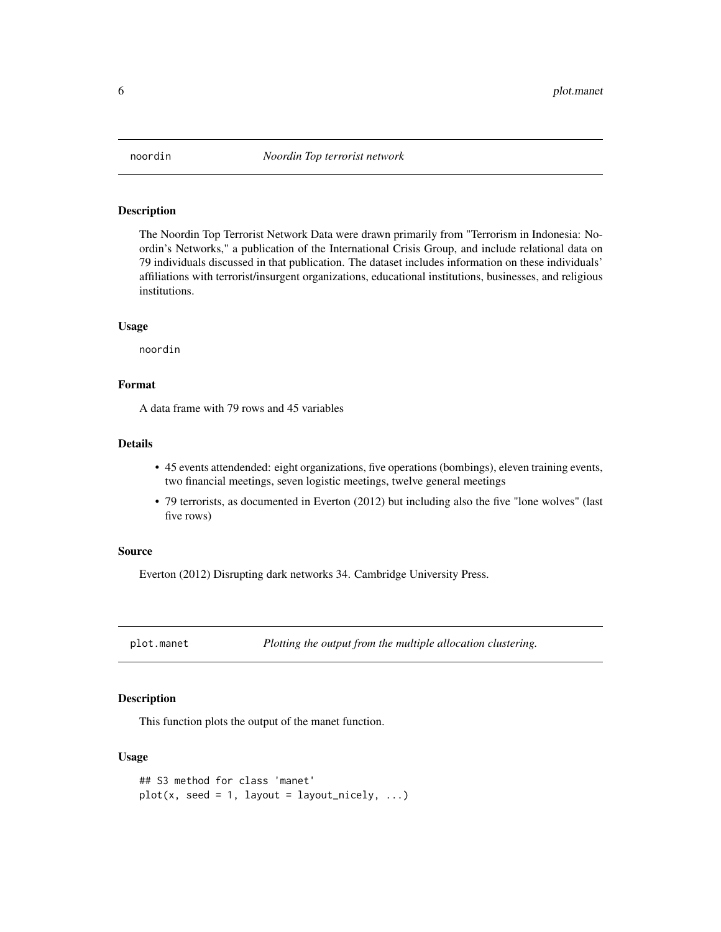<span id="page-5-0"></span>

The Noordin Top Terrorist Network Data were drawn primarily from "Terrorism in Indonesia: Noordin's Networks," a publication of the International Crisis Group, and include relational data on 79 individuals discussed in that publication. The dataset includes information on these individuals' affiliations with terrorist/insurgent organizations, educational institutions, businesses, and religious institutions.

#### Usage

noordin

#### Format

A data frame with 79 rows and 45 variables

#### Details

- 45 events attendended: eight organizations, five operations (bombings), eleven training events, two financial meetings, seven logistic meetings, twelve general meetings
- 79 terrorists, as documented in Everton (2012) but including also the five "lone wolves" (last five rows)

## Source

Everton (2012) Disrupting dark networks 34. Cambridge University Press.

plot.manet *Plotting the output from the multiple allocation clustering.*

#### Description

This function plots the output of the manet function.

## Usage

```
## S3 method for class 'manet'
plot(x, seed = 1, layout = layout\_nick, ...)
```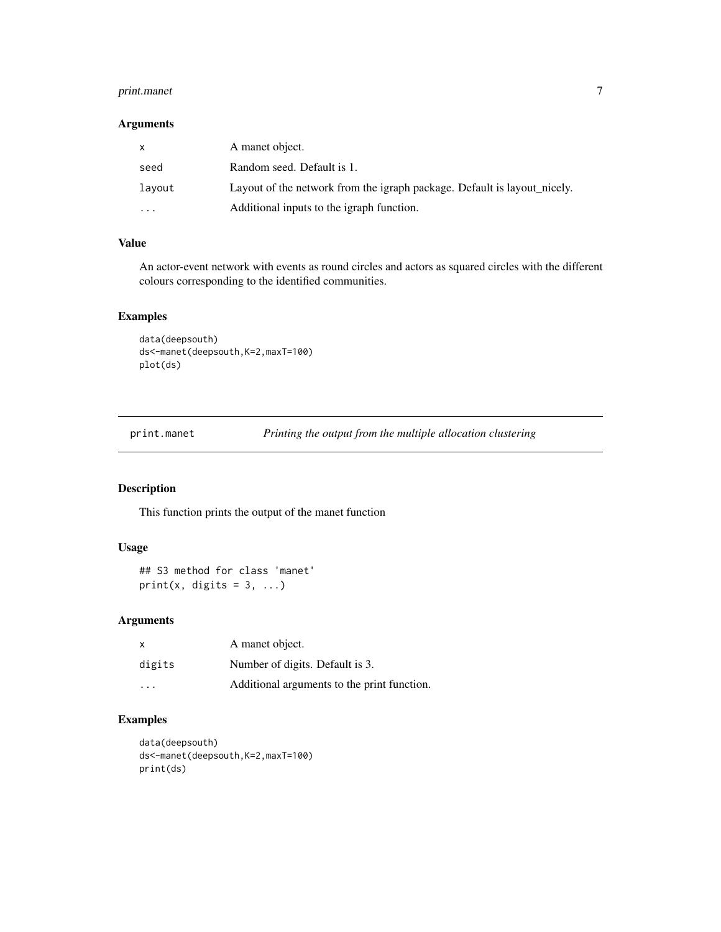# <span id="page-6-0"></span>print.manet 7

#### Arguments

| X        | A manet object.                                                          |
|----------|--------------------------------------------------------------------------|
| seed     | Random seed. Default is 1.                                               |
| layout   | Layout of the network from the igraph package. Default is layout nicely. |
| $\cdots$ | Additional inputs to the igraph function.                                |

## Value

An actor-event network with events as round circles and actors as squared circles with the different colours corresponding to the identified communities.

# Examples

```
data(deepsouth)
ds<-manet(deepsouth,K=2,maxT=100)
plot(ds)
```
print.manet *Printing the output from the multiple allocation clustering*

# Description

This function prints the output of the manet function

# Usage

```
## S3 method for class 'manet'
print(x, digits = 3, ...)
```
# Arguments

| $\mathsf{x}$ | A manet object.                             |
|--------------|---------------------------------------------|
| digits       | Number of digits. Default is 3.             |
| .            | Additional arguments to the print function. |

```
data(deepsouth)
ds<-manet(deepsouth,K=2,maxT=100)
print(ds)
```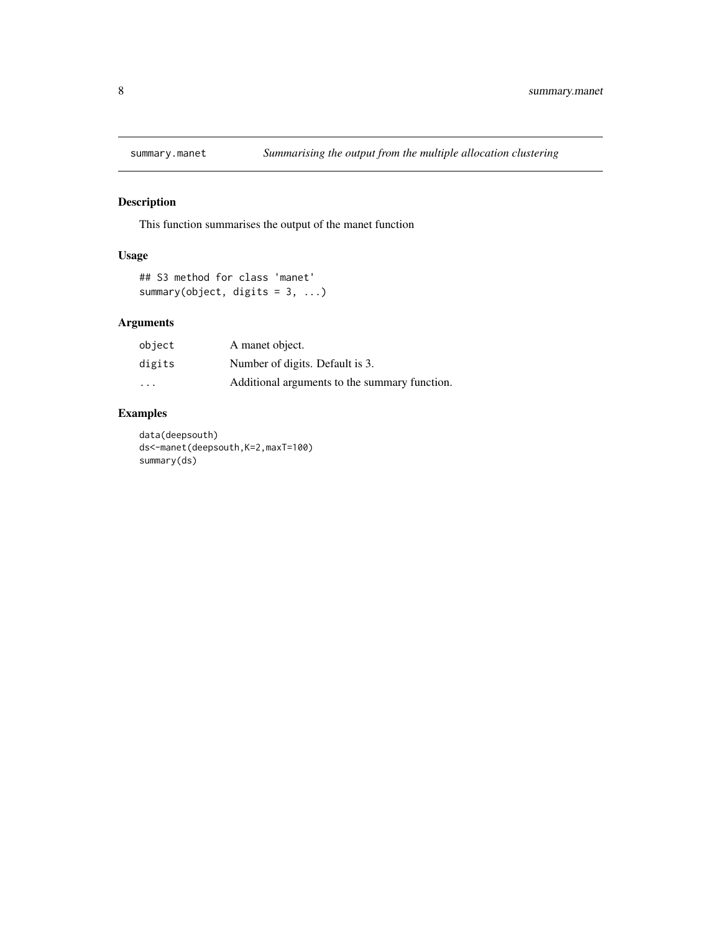<span id="page-7-0"></span>

This function summarises the output of the manet function

# Usage

```
## S3 method for class 'manet'
summary(object, digits = 3, ...)
```
# Arguments

| object | A manet object.                               |
|--------|-----------------------------------------------|
| digits | Number of digits. Default is 3.               |
| .      | Additional arguments to the summary function. |

# Examples

data(deepsouth) ds<-manet(deepsouth,K=2,maxT=100) summary(ds)